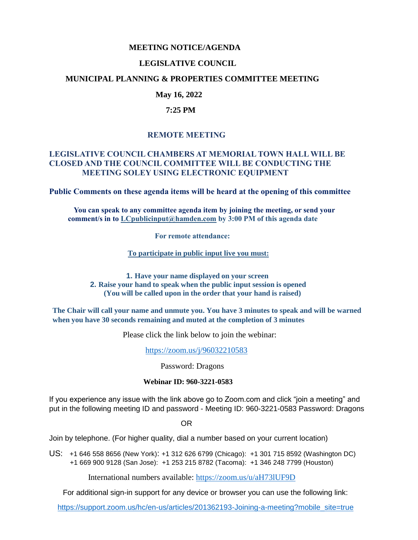#### **MEETING NOTICE/AGENDA**

## **LEGISLATIVE COUNCIL**

### **MUNICIPAL PLANNING & PROPERTIES COMMITTEE MEETING**

## **May 16, 2022**

#### **7:25 PM**

## **REMOTE MEETING**

## **LEGISLATIVE COUNCIL CHAMBERS AT MEMORIAL TOWN HALL WILL BE CLOSED AND THE COUNCIL COMMITTEE WILL BE CONDUCTING THE MEETING SOLEY USING ELECTRONIC EQUIPMENT**

**Public Comments on these agenda items will be heard at the opening of this committee** 

 **You can speak to any committee agenda item by joining the meeting, or send your comment/s in to [LCpublicinput@hamden.com](mailto:LCpublicinput@hamden.com) by 3:00 PM of this agenda date**

 **For remote attendance:**

**To participate in public input live you must:**

**1. Have your name displayed on your screen 2. Raise your hand to speak when the public input session is opened (You will be called upon in the order that your hand is raised)**

**The Chair will call your name and unmute you. You have 3 minutes to speak and will be warned when you have 30 seconds remaining and muted at the completion of 3 minutes**

Please click the link below to join the webinar:

<https://zoom.us/j/96032210583>

Password: Dragons

#### **Webinar ID: 960-3221-0583**

If you experience any issue with the link above go to Zoom.com and click "join a meeting" and put in the following meeting ID and password - Meeting ID: 960-3221-0583 Password: Dragons

OR

Join by telephone. (For higher quality, dial a number based on your current location)

US: [+1 646 558 8656 \(New York\)](tel:+16465588656): [+1 312 626 6799 \(Chicago\):](tel:+13126266799) [+1 301 715 8592 \(Washington DC\)](tel:+13017158592) +1 669 900 9128 (San Jose): [+1 253 215 8782 \(Tacoma\):](tel:+12532158782) [+1 346 248 7799 \(Houston\)](tel:+13462487799)

International numbers available:<https://zoom.us/u/aH73lUF9D>

For additional sign-in support for any device or browser you can use the following link:

[https://support.zoom.us/hc/en-us/articles/201362193-Joining-a-meeting?mobile\\_site=true](https://support.zoom.us/hc/en-us/articles/201362193-Joining-a-meeting?mobile_site=true)